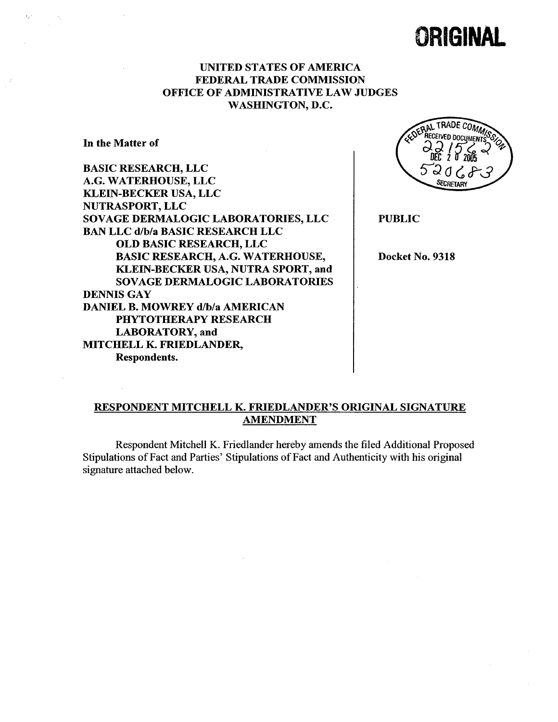# **ORIGINAL**

## UNITED STATES OF AMERICA FEDERAL TRADE COMMISSION OFFICE OF ADMINISTRATIVE LAW JUDGES WASHINGTON, D.

In the Matter of

BASIC RESEARCH, LLC A.G. WATERHOUSE, LLC KLEIN-BECKER USA, LLC NUTRASPORT, LLC SOVAGE DERMALOGIC LABORATORIES, LLC BAN LLC d/b/a BASIC RESEARCH LLC OLD BASIC RESEARCH, LLC BASIC RESEARCH, A.G. WATERHOUSE KLEIN-BECKER USA, NUTRA SPORT, and SOVAGE DERMALOGIC LABORATORIES DENNIS GAY DANIEL B. MOWREY d/b/a AMERICAN PHYTOTHERAPY RESEARCH LABORATORY, and MITCHELL K. FRIEDLANDER Respondents.



PUBLIC

Docket No. 9318

# RESPONDENT MITCHELL K. FRIEDLANDER'S ORIGINAL SIGNATURE AMENDMENT

Respondent Mitchell K. Friedlander hereby amends the filed Additional Proposed Stipulations of Fact and Paries' Stipulations of Fact and Authenticity with his original signature attached below.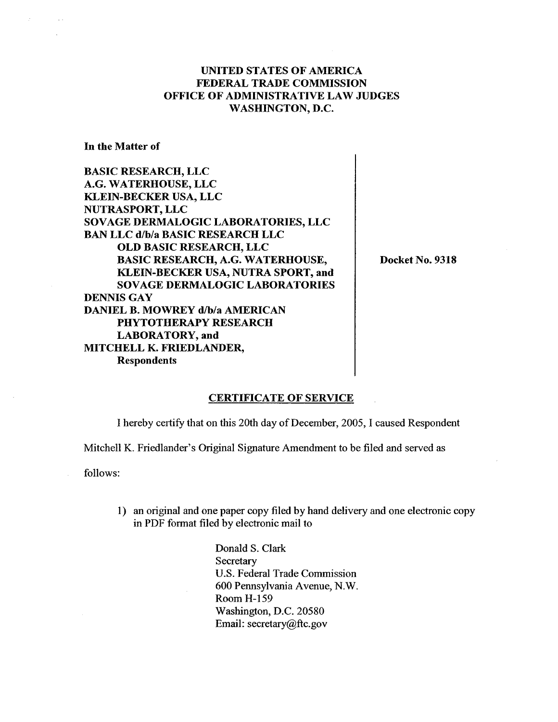## UNITED STATES OF AMERICA FEDERAL TRADE COMMISSION OFFICE OF ADMINISTRATIVE LAW JUDGES WASHINGTON, D.

In the Matter of

BASIC RESEARCH, LLC G. WATERHOUSE, LLC KLEIN-BECKER USA, LLC NUTRASPORT, LLC SOVAGE DERMALOGIC LABORATORIES, LLC BAN LLC d/b/a BASIC RESEARCH LLC OLD BASIC RESEARCH, LLC BASIC RESEARCH, A.G. WATERHOUSE KLEIN-BECKER USA, NUTRA SPORT, and SOV AGE DERMALOGIC LABORATORIES DENNIS GAY DANIEL B. MOWREY d/b/a AMERICAN PHYTOTHERAPY RESEARCH LABORATORY, and MITCHELL K. FRIEDLANDER Respondents

Docket No. 9318

#### CERTIFICATE OF SERVICE

I hereby certify that on this 20th day of December, 2005, I caused Respondent

Mitchell K. Friedlander's Original Signature Amendment to be filed and served as

follows:

1) an original and one paper copy filed by hand delivery and one electronic copy in PDF format filed by electronic mail to

> Donald S. Clark **Secretary** U.S. Federal Trade Commission 600 Pennsylvania Avenue, N. Room H-159 Washington, D.C. 20580 Email: secretary@ftc.gov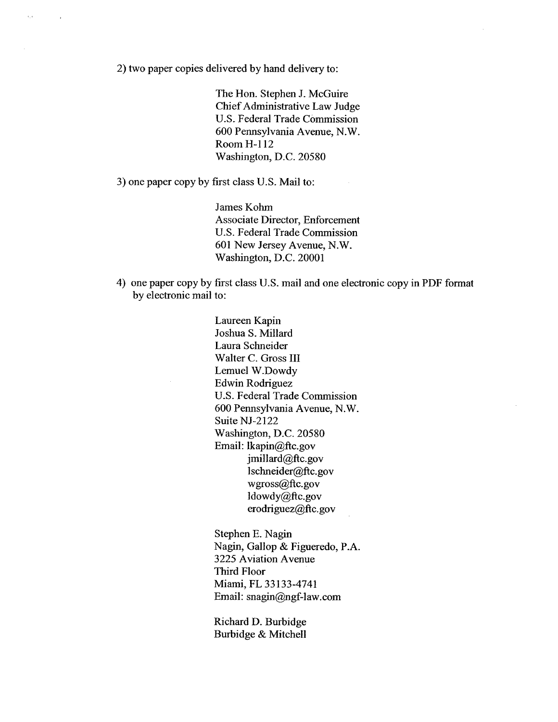2) two paper copies delivered by hand delivery to:

 $\tau_{\rm T}$  :

The Hon. Stephen J. McGuire Chief Administrative Law Judge U.S. Federal Trade Commission 600 Pennsylvania Avenue, N. Room H-112 Washington, D.C. 20580

3) one paper copy by first class U.S. Mail to:

James Kohm Associate Director, Enforcement U.S. Federal Trade Commission 601 New Jersey Avenue, N. Washington, D.C. 20001

4) one paper copy by first class U.S. mail and one electronic copy in PDF format by electronic mail to:

> Laureen Kapin Joshua S. Milard Laura Schneider Walter C. Gross III Lemuel W.Dowdy Edwin Rodriguez U.S. Federal Trade Commission 600 Pennsylvania Avenue, N. Suite NJ-2122 Washington, D.C. 20580 Email: lkapin@ftc.gov jmillard@ftc.gov lschneider@ftc.gov wgross@ftc.gov ldowdy@ftc.gov erodriguez@ftc.gov

Stephen E. Nagin Nagin, Gallop & Figueredo, P. 3225 A viation Avenue Third Floor Miami, FL 33133-4741 Email: snagin@ngf-law.com

Richard D. Burbidge Burbidge & Mitchell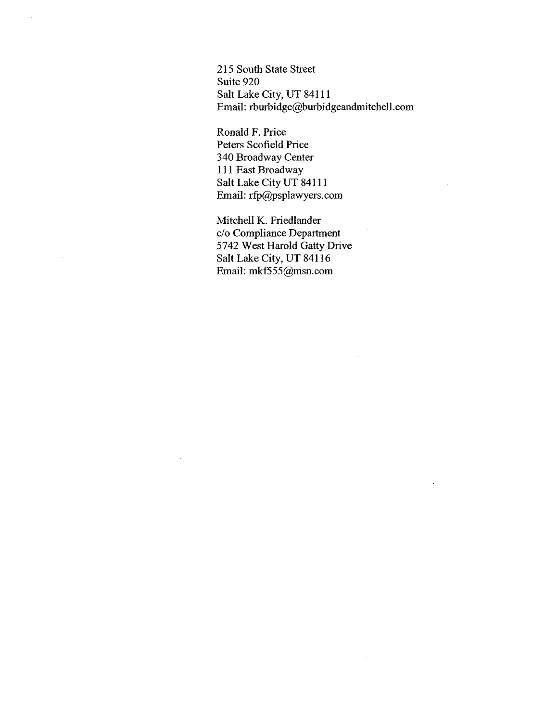215 South State Street Suite 920 Salt Lake City, UT 84111 Email: rburbidge@burbidgeandmitchell.com

Ronald F. Price Peters Scofield Price 340 Broadway Center <sup>111</sup>East Broadway Salt Lake City UT 84111 Email: rfp@psplawyers.com

 $\sim$  .

Mitchell K. Friedlander c/o Compliance Department 5742 West Harold Gatty Drive Salt Lake City, UT 84116 Email: mkf555@msn.com

 $\sim$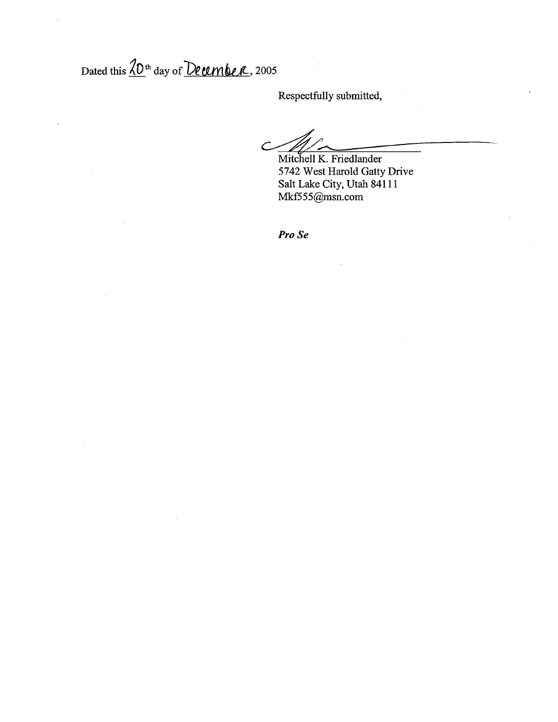Dated this  $\overline{{\langle \mathcal{D}^{\text{th}}\text{ day of }\mathcal{D}\text{e}\text{umbc}\text{r},2005}}$ 

Respectfully submitted

で Mitchell K. Friedlander

5742 West Harold Gatty Drive Salt Lake City, Utah 84111 Mkf555@msn.com

Pro Se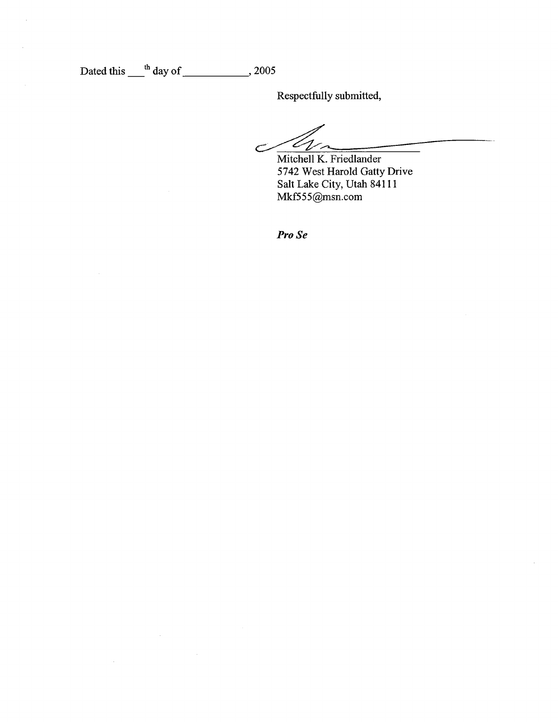Dated this  $\frac{th}{100}$  day of 2005

Respectfully submitted

Mitchell K. Friedlander 5742 West Harold Gatty Drive Salt Lake City, Utah 84111 Mkf555@msn.com

Pro Se